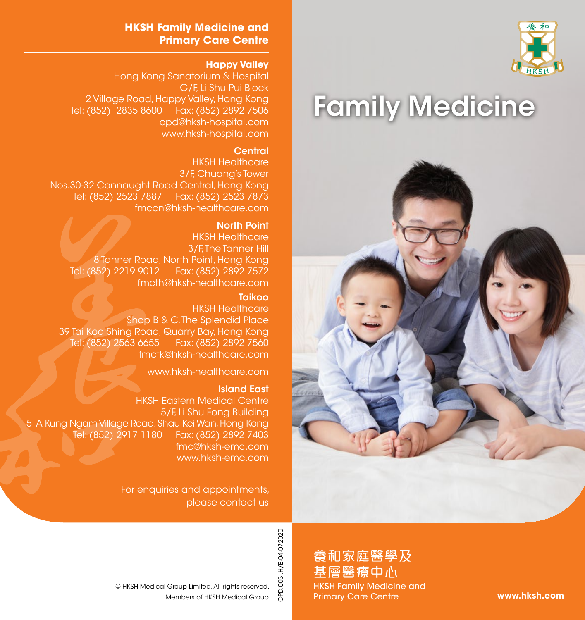

# Family Medicine



#### **HKSH Family Medicine and Primary Care Centre**

#### **Happy Valley**

Hong Kong Sanatorium & Hospital G/F, Li Shu Pui Block 2 Village Road, Happy Valley, Hong Kong Tel: (852) 2835 8600 Fax: (852) 2892 7506 opd@hksh-hospital.com www.hksh-hospital.com

#### **Central**

HKSH Healthcare 3/F, Chuang's Tower Nos.30-32 Connaught Road Central, Hong Kong Tel: (852) 2523 7887 Fax: (852) 2523 7873 fmccn@hksh-healthcare.com

#### North Point

HKSH Healthcare 3/F. The Tanner Hill 8 Tanner Road, North Point, Hong Kong Tel: (852) 2219 9012 Fax: (852) 2892 7572 fmcth@hksh-healthcare.com

#### **Taikoo**

HKSH Healthcare Shop B & C. The Splendid Place 39 Tai Koo Shing Road, Quarry Bay, Hong Kong Fax: (852) 2892 7560 fmctk@hksh-healthcare.com

www.hksh-healthcare.com

#### Island East

HKSH Eastern Medical Centre 5/F, Li Shu Fong Building 5 A Kung Ngam Village Road, Shau Kei Wan, Hong Kong Tel: (852) 2917 1180 Fax: (852) 2892 7403 fmc@hksh-emc.com www.hksh-emc.com

> For enquiries and appointments, please contact us

> > OPD.003I.H/E-04-072020 OPD.003I.H/E-04-072020

養和家庭醫學及 基層醫療中心 HKSH Family Medicine and Primary Care Centre

**www.hksh.com**

Members of HKSH Medical Group © HKSH Medical Group Limited. All rights reserved.